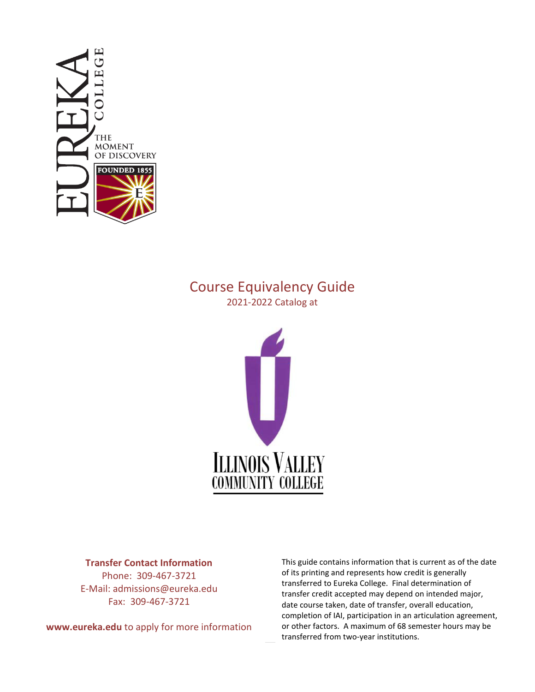

# Course Equivalency Guide

2021-2022 Catalog at



#### **Transfer Contact Information**

Phone: 309-467-3721 E-Mail: admissions@eureka.edu Fax: 309-467-3721

**www.eureka.edu** to apply for more information

This guide contains information that is current as of the date of its printing and represents how credit is generally transferred to Eureka College. Final determination of transfer credit accepted may depend on intended major, date course taken, date of transfer, overall education, completion of IAI, participation in an articulation agreement, or other factors. A maximum of 68 semester hours may be transferred from two-year institutions.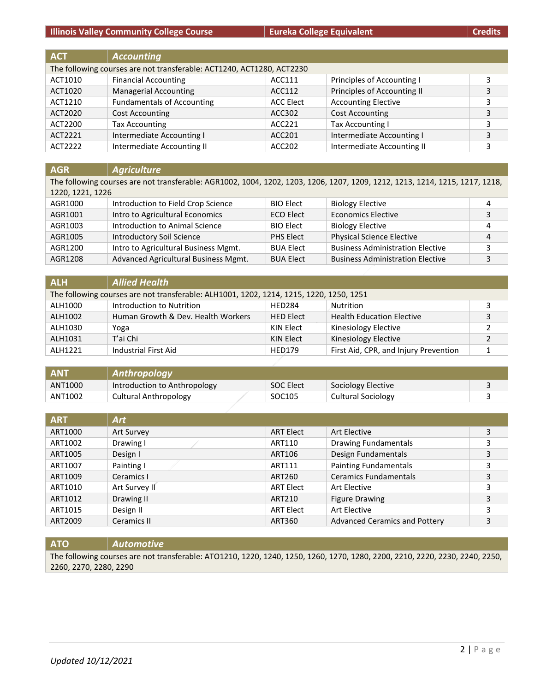**Illinois Valley Community College Course Eureka College Equivalent College Equivalent Credits** 

| <b>ACT</b> | <b>Accounting</b>                                                     |           |                             |   |
|------------|-----------------------------------------------------------------------|-----------|-----------------------------|---|
|            | The following courses are not transferable: ACT1240, ACT1280, ACT2230 |           |                             |   |
| ACT1010    | <b>Financial Accounting</b>                                           | ACC111    | Principles of Accounting I  |   |
| ACT1020    | <b>Managerial Accounting</b>                                          | ACC112    | Principles of Accounting II |   |
| ACT1210    | <b>Fundamentals of Accounting</b>                                     | ACC Elect | <b>Accounting Elective</b>  |   |
| ACT2020    | <b>Cost Accounting</b>                                                | ACC302    | <b>Cost Accounting</b>      | 3 |
| ACT2200    | <b>Tax Accounting</b>                                                 | ACC221    | Tax Accounting I            | 3 |
| ACT2221    | Intermediate Accounting I                                             | ACC201    | Intermediate Accounting I   | 3 |
| ACT2222    | Intermediate Accounting II                                            | ACC202    | Intermediate Accounting II  |   |

| <b>AGR</b>       | <b>Agriculture</b>                                                                                                           |                  |                                         |   |
|------------------|------------------------------------------------------------------------------------------------------------------------------|------------------|-----------------------------------------|---|
|                  | The following courses are not transferable: AGR1002, 1004, 1202, 1203, 1206, 1207, 1209, 1212, 1213, 1214, 1215, 1217, 1218, |                  |                                         |   |
| 1220, 1221, 1226 |                                                                                                                              |                  |                                         |   |
| AGR1000          | Introduction to Field Crop Science                                                                                           | <b>BIO Elect</b> | <b>Biology Elective</b>                 | 4 |
| AGR1001          | Intro to Agricultural Economics                                                                                              | <b>ECO Elect</b> | <b>Economics Elective</b>               | 3 |
| AGR1003          | Introduction to Animal Science                                                                                               | <b>BIO Elect</b> | <b>Biology Elective</b>                 | 4 |
| AGR1005          | <b>Introductory Soil Science</b>                                                                                             | PHS Elect        | <b>Physical Science Elective</b>        | 4 |
| AGR1200          | Intro to Agricultural Business Mgmt.                                                                                         | <b>BUA Elect</b> | <b>Business Administration Elective</b> | 3 |
| AGR1208          | Advanced Agricultural Business Mgmt.                                                                                         | <b>BUA Elect</b> | <b>Business Administration Elective</b> | 3 |

| <b>ALH</b> | <b>Allied Health</b>                                                                    |                  |                                       |   |
|------------|-----------------------------------------------------------------------------------------|------------------|---------------------------------------|---|
|            | The following courses are not transferable: ALH1001, 1202, 1214, 1215, 1220, 1250, 1251 |                  |                                       |   |
| ALH1000    | Introduction to Nutrition                                                               | <b>HFD284</b>    | Nutrition                             |   |
| ALH1002    | Human Growth & Dev. Health Workers                                                      | <b>HED Elect</b> | <b>Health Education Elective</b>      | 3 |
| ALH1030    | Yoga                                                                                    | KIN Elect        | Kinesiology Elective                  |   |
| ALH1031    | T'ai Chi                                                                                | KIN Elect        | Kinesiology Elective                  |   |
| AI H1221   | Industrial First Aid                                                                    | <b>HED179</b>    | First Aid, CPR, and Injury Prevention |   |

| <b>ANT</b> | Anthropology                 |                    |                    |  |
|------------|------------------------------|--------------------|--------------------|--|
| ANT1000    | Introduction to Anthropology | <b>SOC Elect</b>   | Sociology Elective |  |
| ANT1002    | Cultural Anthropology        | SOC <sub>105</sub> | Cultural Sociology |  |

| <b>ART</b> | <b>Art</b>    |                  |                                      |   |
|------------|---------------|------------------|--------------------------------------|---|
| ART1000    | Art Survey    | <b>ART Elect</b> | Art Elective                         | 3 |
| ART1002    | Drawing I     | ART110           | <b>Drawing Fundamentals</b>          | 3 |
| ART1005    | Design I      | ART106           | Design Fundamentals                  | 3 |
| ART1007    | Painting I    | ART111           | <b>Painting Fundamentals</b>         | 3 |
| ART1009    | Ceramics I    | ART260           | <b>Ceramics Fundamentals</b>         | 3 |
| ART1010    | Art Survey II | <b>ART Elect</b> | Art Elective                         | 3 |
| ART1012    | Drawing II    | ART210           | <b>Figure Drawing</b>                | 3 |
| ART1015    | Design II     | <b>ART Elect</b> | Art Elective                         | 3 |
| ART2009    | Ceramics II   | ART360           | <b>Advanced Ceramics and Pottery</b> | 3 |

**ATO** *Automotive* The following courses are not transferable: ATO1210, 1220, 1240, 1250, 1260, 1270, 1280, 2200, 2210, 2220, 2230, 2240, 2250, 2260, 2270, 2280, 2290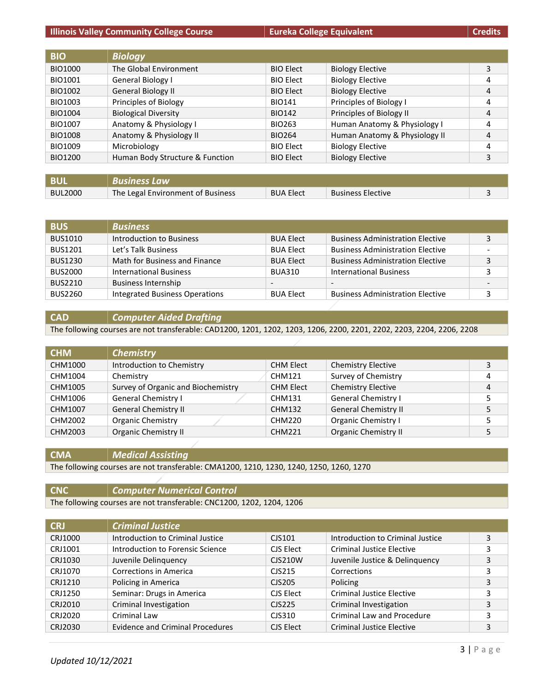#### **Illinois Valley Community College Course Eureka College Equivalent College Equivalent Credits**

| <b>BIO</b>     | <b>Biology</b>                  |                  |                               |   |
|----------------|---------------------------------|------------------|-------------------------------|---|
| BIO1000        | The Global Environment          | <b>BIO Elect</b> | <b>Biology Elective</b>       | 3 |
| BIO1001        | General Biology I               | <b>BIO Elect</b> | <b>Biology Elective</b>       | 4 |
| BIO1002        | <b>General Biology II</b>       | <b>BIO Elect</b> | <b>Biology Elective</b>       | 4 |
| BIO1003        | Principles of Biology           | <b>BIO141</b>    | Principles of Biology I       | 4 |
| BIO1004        | <b>Biological Diversity</b>     | <b>BIO142</b>    | Principles of Biology II      | 4 |
| <b>BIO1007</b> | Anatomy & Physiology I          | <b>BIO263</b>    | Human Anatomy & Physiology I  | 4 |
| <b>BIO1008</b> | Anatomy & Physiology II         | <b>BIO264</b>    | Human Anatomy & Physiology II | 4 |
| BIO1009        | Microbiology                    | <b>BIO Elect</b> | <b>Biology Elective</b>       | 4 |
| BIO1200        | Human Body Structure & Function | <b>BIO Elect</b> | <b>Biology Elective</b>       | 3 |
|                |                                 |                  |                               |   |

| BUI            | Business Law                      |                  |                          |  |
|----------------|-----------------------------------|------------------|--------------------------|--|
| <b>BUL2000</b> | The Legal Environment of Business | <b>BUA Elect</b> | <b>Business Elective</b> |  |

| <b>BUS</b>     | <b>Business</b>                       |                  |                                         |   |
|----------------|---------------------------------------|------------------|-----------------------------------------|---|
| <b>BUS1010</b> | Introduction to Business              | <b>BUA Elect</b> | <b>Business Administration Elective</b> | 3 |
| <b>BUS1201</b> | Let's Talk Business                   | <b>BUA Elect</b> | <b>Business Administration Elective</b> |   |
| <b>BUS1230</b> | Math for Business and Finance         | <b>BUA Elect</b> | <b>Business Administration Elective</b> | 3 |
| <b>BUS2000</b> | <b>International Business</b>         | <b>BUA310</b>    | <b>International Business</b>           |   |
| <b>BUS2210</b> | <b>Business Internship</b>            | -                | $\overline{\phantom{a}}$                |   |
| <b>BUS2260</b> | <b>Integrated Business Operations</b> | <b>BUA Elect</b> | <b>Business Administration Elective</b> | 3 |

**CAD** *Computer Aided Drafting*

The following courses are not transferable: CAD1200, 1201, 1202, 1203, 1206, 2200, 2201, 2202, 2203, 2204, 2206, 2208

| <b>CHM</b> | <b>Chemistry</b>                   |                  |                             |   |
|------------|------------------------------------|------------------|-----------------------------|---|
| CHM1000    | Introduction to Chemistry          | <b>CHM Elect</b> | <b>Chemistry Elective</b>   | 3 |
| CHM1004    | Chemistry                          | <b>CHM121</b>    | Survey of Chemistry         | 4 |
| CHM1005    | Survey of Organic and Biochemistry | <b>CHM Elect</b> | <b>Chemistry Elective</b>   | 4 |
| CHM1006    | <b>General Chemistry I</b>         | <b>CHM131</b>    | <b>General Chemistry I</b>  | 5 |
| CHM1007    | <b>General Chemistry II</b>        | <b>CHM132</b>    | <b>General Chemistry II</b> | 5 |
| CHM2002    | Organic Chemistry                  | <b>CHM220</b>    | <b>Organic Chemistry I</b>  | 5 |
| CHM2003    | <b>Organic Chemistry II</b>        | <b>CHM221</b>    | <b>Organic Chemistry II</b> |   |

**CMA** *Medical Assisting*

The following courses are not transferable: CMA1200, 1210, 1230, 1240, 1250, 1260, 1270

**CNC** *Computer Numerical Control*

The following courses are not transferable: CNC1200, 1202, 1204, 1206

| <b>CRJ</b> | <b>Criminal Justice</b>                 |                |                                   |   |
|------------|-----------------------------------------|----------------|-----------------------------------|---|
| CRJ1000    | Introduction to Criminal Justice        | CJS101         | Introduction to Criminal Justice  | 3 |
| CRJ1001    | Introduction to Forensic Science        | CJS Elect      | <b>Criminal Justice Elective</b>  | 3 |
| CRJ1030    | Juvenile Delinquency                    | <b>CJS210W</b> | Juvenile Justice & Delinquency    | 3 |
| CRJ1070    | <b>Corrections in America</b>           | CJS215         | Corrections                       | 3 |
| CRJ1210    | Policing in America                     | CJS205         | Policing                          | 3 |
| CRJ1250    | Seminar: Drugs in America               | CJS Elect      | <b>Criminal Justice Elective</b>  | 3 |
| CRJ2010    | Criminal Investigation                  | CJS225         | Criminal Investigation            | 3 |
| CRJ2020    | Criminal Law                            | CJS310         | <b>Criminal Law and Procedure</b> | 3 |
| CRJ2030    | <b>Evidence and Criminal Procedures</b> | CJS Elect      | <b>Criminal Justice Elective</b>  | 3 |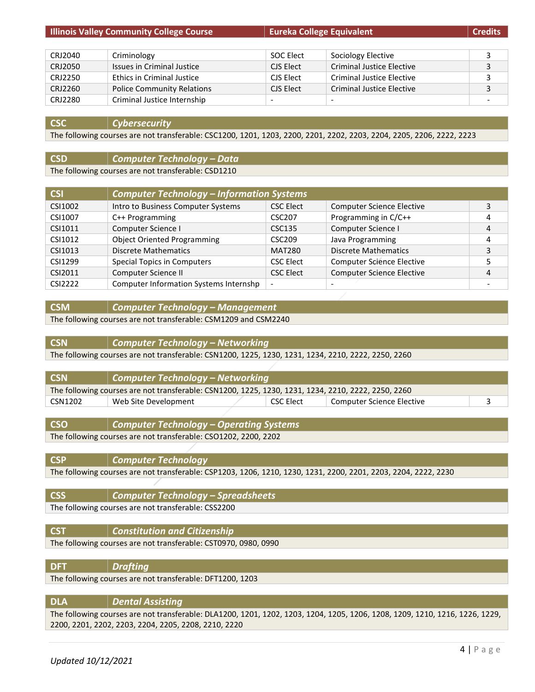|         | <b>Illinois Valley Community College Course</b> | <b>Eureka College Equivalent</b> |                                  | <b>Credits</b> |
|---------|-------------------------------------------------|----------------------------------|----------------------------------|----------------|
|         |                                                 |                                  |                                  |                |
| CRJ2040 | Criminology                                     | SOC Elect                        | Sociology Elective               | 3              |
| CRJ2050 | Issues in Criminal Justice                      | CJS Elect                        | <b>Criminal Justice Elective</b> | 3              |
| CRJ2250 | <b>Ethics in Criminal Justice</b>               | CJS Elect                        | <b>Criminal Justice Elective</b> | 3              |
| CRJ2260 | <b>Police Community Relations</b>               | CJS Elect                        | <b>Criminal Justice Elective</b> | 3              |
| CRJ2280 | Criminal Justice Internship                     |                                  |                                  |                |

#### **CSC** *Cybersecurity*

The following courses are not transferable: CSC1200, 1201, 1203, 2200, 2201, 2202, 2203, 2204, 2205, 2206, 2222, 2223

## **CSD** *Computer Technology – Data*

The following courses are not transferable: CSD1210

| CSI     | <b>Computer Technology - Information Systems</b> |                    |                                  |   |
|---------|--------------------------------------------------|--------------------|----------------------------------|---|
| CSI1002 | Intro to Business Computer Systems               | <b>CSC Elect</b>   | <b>Computer Science Elective</b> | 3 |
| CSI1007 | C++ Programming                                  | CSC <sub>207</sub> | Programming in C/C++             | 4 |
| CSI1011 | Computer Science I                               | CSC135             | Computer Science I               | 4 |
| CSI1012 | <b>Object Oriented Programming</b>               | CSC <sub>209</sub> | Java Programming                 | 4 |
| CSI1013 | Discrete Mathematics                             | <b>MAT280</b>      | <b>Discrete Mathematics</b>      | 3 |
| CSI1299 | <b>Special Topics in Computers</b>               | <b>CSC Elect</b>   | <b>Computer Science Elective</b> |   |
| CSI2011 | Computer Science II                              | <b>CSC Elect</b>   | <b>Computer Science Elective</b> | 4 |
| CSI2222 | Computer Information Systems Internshp           |                    |                                  |   |

#### **CSM** *Computer Technology – Management*

The following courses are not transferable: CSM1209 and CSM2240

#### **CSN** *Computer Technology – Networking*

The following courses are not transferable: CSN1200, 1225, 1230, 1231, 1234, 2210, 2222, 2250, 2260

| <b>CSN</b>                                                                                          | $\vert$ Computer Technology – Networking |           |                           |  |
|-----------------------------------------------------------------------------------------------------|------------------------------------------|-----------|---------------------------|--|
| The following courses are not transferable: CSN1200, 1225, 1230, 1231, 1234, 2210, 2222, 2250, 2260 |                                          |           |                           |  |
| CSN1202                                                                                             | Web Site Development                     | CSC Elect | Computer Science Elective |  |
|                                                                                                     |                                          |           |                           |  |

**CSO** *Computer Technology – Operating Systems*

The following courses are not transferable: CSO1202, 2200, 2202

**CSP** *Computer Technology*

The following courses are not transferable: CSP1203, 1206, 1210, 1230, 1231, 2200, 2201, 2203, 2204, 2222, 2230

**CSS** *Computer Technology – Spreadsheets* The following courses are not transferable: CSS2200

**CST** *Constitution and Citizenship*

The following courses are not transferable: CST0970, 0980, 0990

| <b>DFT</b> | <b>Drafting</b>                                           |
|------------|-----------------------------------------------------------|
|            | The following courses are not transferable: DFT1200, 1203 |
|            |                                                           |

| <b>DLA</b> | Dental Assisting                                                                                                             |
|------------|------------------------------------------------------------------------------------------------------------------------------|
|            | The following courses are not transferable: DLA1200, 1201, 1202, 1203, 1204, 1205, 1206, 1208, 1209, 1210, 1216, 1226, 1229, |
|            | 2200, 2201, 2202, 2203, 2204, 2205, 2208, 2210, 2220                                                                         |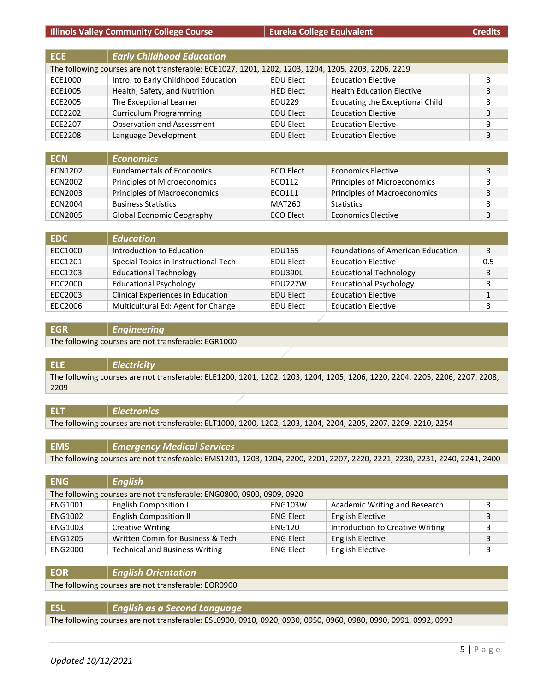|  | Credits |  |  |  |
|--|---------|--|--|--|
|  |         |  |  |  |

| <b>ECE</b>     | <b>Early Childhood Education</b>                                                                    |                  |                                        |   |
|----------------|-----------------------------------------------------------------------------------------------------|------------------|----------------------------------------|---|
|                | The following courses are not transferable: ECE1027, 1201, 1202, 1203, 1204, 1205, 2203, 2206, 2219 |                  |                                        |   |
| ECE1000        | Intro. to Early Childhood Education                                                                 | <b>EDU Elect</b> | <b>Education Elective</b>              | 3 |
| ECE1005        | Health, Safety, and Nutrition                                                                       | <b>HED Elect</b> | <b>Health Education Elective</b>       | 3 |
| ECE2005        | The Exceptional Learner                                                                             | EDU229           | <b>Educating the Exceptional Child</b> | 3 |
| ECE2202        | <b>Curriculum Programming</b>                                                                       | <b>EDU Elect</b> | <b>Education Elective</b>              | 3 |
| ECE2207        | <b>Observation and Assessment</b>                                                                   | <b>EDU Elect</b> | <b>Education Elective</b>              | 3 |
| <b>ECE2208</b> | Language Development                                                                                | <b>EDU Elect</b> | <b>Education Elective</b>              | 3 |

| <b>ECN</b> | <b>Economics</b>                 |                  |                                     |  |
|------------|----------------------------------|------------------|-------------------------------------|--|
| ECN1202    | <b>Fundamentals of Economics</b> | ECO Elect        | <b>Economics Elective</b>           |  |
| ECN2002    | Principles of Microeconomics     | ECO112           | Principles of Microeconomics        |  |
| ECN2003    | Principles of Macroeconomics     | ECO111           | <b>Principles of Macroeconomics</b> |  |
| ECN2004    | <b>Business Statistics</b>       | <b>MAT260</b>    | <b>Statistics</b>                   |  |
| ECN2005    | <b>Global Economic Geography</b> | <b>ECO Elect</b> | <b>Economics Elective</b>           |  |

| EDC.    | <b>Education</b>                     |                  |                                          |     |
|---------|--------------------------------------|------------------|------------------------------------------|-----|
| EDC1000 | Introduction to Education            | EDU165           | <b>Foundations of American Education</b> | 3   |
| EDC1201 | Special Topics in Instructional Tech | <b>EDU Elect</b> | <b>Education Elective</b>                | 0.5 |
| EDC1203 | <b>Educational Technology</b>        | EDU390L          | <b>Educational Technology</b>            | 3   |
| EDC2000 | <b>Educational Psychology</b>        | FDU227W          | <b>Educational Psychology</b>            | 2   |
| EDC2003 | Clinical Experiences in Education    | <b>EDU Elect</b> | <b>Education Elective</b>                |     |
| EDC2006 | Multicultural Ed: Agent for Change   | <b>EDU Elect</b> | <b>Education Elective</b>                |     |

#### **EGR** *Engineering*

The following courses are not transferable: EGR1000

#### **ELE** *Electricity*

The following courses are not transferable: ELE1200, 1201, 1202, 1203, 1204, 1205, 1206, 1220, 2204, 2205, 2206, 2207, 2208, 2209

#### **ELT** *Electronics*

The following courses are not transferable: ELT1000, 1200, 1202, 1203, 1204, 2204, 2205, 2207, 2209, 2210, 2254

| <b>EMS</b> | <b>Emergency Medical Services</b>                                                                                           |
|------------|-----------------------------------------------------------------------------------------------------------------------------|
|            | The following courses are not transferable: EMS1201, 1203, 1204, 2200, 2201, 2207, 2220, 2221, 2230, 2231, 2240, 2241, 2400 |

| <b>ENG</b>     | <b>English</b>                                                        |                  |                                  |   |
|----------------|-----------------------------------------------------------------------|------------------|----------------------------------|---|
|                | The following courses are not transferable: ENG0800, 0900, 0909, 0920 |                  |                                  |   |
| ENG1001        | <b>English Composition I</b>                                          | <b>ENG103W</b>   | Academic Writing and Research    |   |
| ENG1002        | <b>English Composition II</b>                                         | <b>ENG Elect</b> | <b>English Elective</b>          | 3 |
| ENG1003        | <b>Creative Writing</b>                                               | <b>ENG120</b>    | Introduction to Creative Writing | っ |
| <b>ENG1205</b> | Written Comm for Business & Tech                                      | <b>ENG Elect</b> | <b>English Elective</b>          | 3 |
| <b>ENG2000</b> | <b>Technical and Business Writing</b>                                 | <b>ENG Elect</b> | <b>English Elective</b>          |   |

#### **EOR** *English Orientation*

The following courses are not transferable: EOR0900

#### **ESL** *English as a Second Language*

The following courses are not transferable: ESL0900, 0910, 0920, 0930, 0950, 0960, 0980, 0990, 0991, 0992, 0993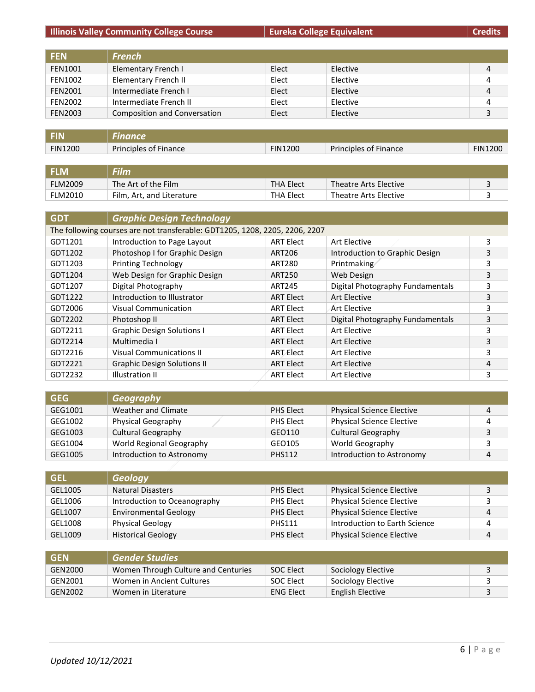## **Illinois Valley Community College Course Eureka College Equivalent Eureka College Equivalent Credits**

| <b>FEN</b>     | <b>French</b>                |       |          |   |
|----------------|------------------------------|-------|----------|---|
| <b>FEN1001</b> | Elementary French I          | Elect | Elective | 4 |
| <b>FEN1002</b> | Elementary French II         | Elect | Elective | 4 |
| <b>FEN2001</b> | Intermediate French I        | Elect | Elective | 4 |
| <b>FEN2002</b> | Intermediate French II       | Elect | Elective | 4 |
| <b>FEN2003</b> | Composition and Conversation | Elect | Elective | 3 |

| <b>FIN1200</b> | <b>Principles of Finance</b> | <b>FIN1200</b> | <b>Principles of Finance</b> | <b>FIN1200</b> |
|----------------|------------------------------|----------------|------------------------------|----------------|
|                |                              |                |                              |                |

| <b>FLM</b>     | Film                      |                  |                       |  |
|----------------|---------------------------|------------------|-----------------------|--|
| <b>FLM2009</b> | The Art of the Film       | <b>THA Elect</b> | Theatre Arts Elective |  |
| <b>FLM2010</b> | Film, Art, and Literature | THA Elect        | Theatre Arts Elective |  |

| <b>GDT</b> | <b>Graphic Design Technology</b>                                            |                  |                                  |   |  |
|------------|-----------------------------------------------------------------------------|------------------|----------------------------------|---|--|
|            | The following courses are not transferable: GDT1205, 1208, 2205, 2206, 2207 |                  |                                  |   |  |
| GDT1201    | Introduction to Page Layout                                                 | <b>ART Elect</b> | Art Elective                     | 3 |  |
| GDT1202    | Photoshop I for Graphic Design                                              | ART206           | Introduction to Graphic Design   | 3 |  |
| GDT1203    | <b>Printing Technology</b>                                                  | <b>ART280</b>    | Printmaking                      | 3 |  |
| GDT1204    | Web Design for Graphic Design                                               | ART250           | Web Design                       | 3 |  |
| GDT1207    | Digital Photography                                                         | ART245           | Digital Photography Fundamentals | 3 |  |
| GDT1222    | Introduction to Illustrator                                                 | <b>ART Elect</b> | Art Elective                     | 3 |  |
| GDT2006    | Visual Communication                                                        | <b>ART Elect</b> | Art Elective                     | 3 |  |
| GDT2202    | Photoshop II                                                                | <b>ART Elect</b> | Digital Photography Fundamentals | 3 |  |
| GDT2211    | <b>Graphic Design Solutions I</b>                                           | <b>ART Elect</b> | Art Elective                     | 3 |  |
| GDT2214    | Multimedia I                                                                | <b>ART Elect</b> | Art Elective                     | 3 |  |
| GDT2216    | <b>Visual Communications II</b>                                             | <b>ART Elect</b> | Art Elective                     | 3 |  |
| GDT2221    | <b>Graphic Design Solutions II</b>                                          | <b>ART Elect</b> | Art Elective                     | 4 |  |
| GDT2232    | Illustration II                                                             | <b>ART Elect</b> | Art Elective                     | 3 |  |

| <b>GEG</b> | Geography                 |                  |                                  |  |
|------------|---------------------------|------------------|----------------------------------|--|
| GEG1001    | Weather and Climate       | <b>PHS Elect</b> | <b>Physical Science Elective</b> |  |
| GEG1002    | Physical Geography        | <b>PHS Elect</b> | <b>Physical Science Elective</b> |  |
| GEG1003    | <b>Cultural Geography</b> | GEO110           | <b>Cultural Geography</b>        |  |
| GEG1004    | World Regional Geography  | GEO105           | World Geography                  |  |
| GEG1005    | Introduction to Astronomy | <b>PHS112</b>    | Introduction to Astronomy        |  |

| <b>GEL</b> | <b>Geology</b>               |                  |                                  |  |
|------------|------------------------------|------------------|----------------------------------|--|
| GEL1005    | <b>Natural Disasters</b>     | <b>PHS Elect</b> | <b>Physical Science Elective</b> |  |
| GEL1006    | Introduction to Oceanography | PHS Elect        | <b>Physical Science Elective</b> |  |
| GEL1007    | <b>Environmental Geology</b> | <b>PHS Elect</b> | <b>Physical Science Elective</b> |  |
| GEL1008    | <b>Physical Geology</b>      | <b>PHS111</b>    | Introduction to Earth Science    |  |
| GEL1009    | <b>Historical Geology</b>    | <b>PHS Elect</b> | <b>Physical Science Elective</b> |  |

| <b>GEN</b> | <b>Gender Studies</b>               |                  |                    |  |
|------------|-------------------------------------|------------------|--------------------|--|
| GEN2000    | Women Through Culture and Centuries | <b>SOC Elect</b> | Sociology Elective |  |
| GEN2001    | Women in Ancient Cultures           | <b>SOC Elect</b> | Sociology Elective |  |
| GEN2002    | Women in Literature                 | <b>ENG Elect</b> | English Elective   |  |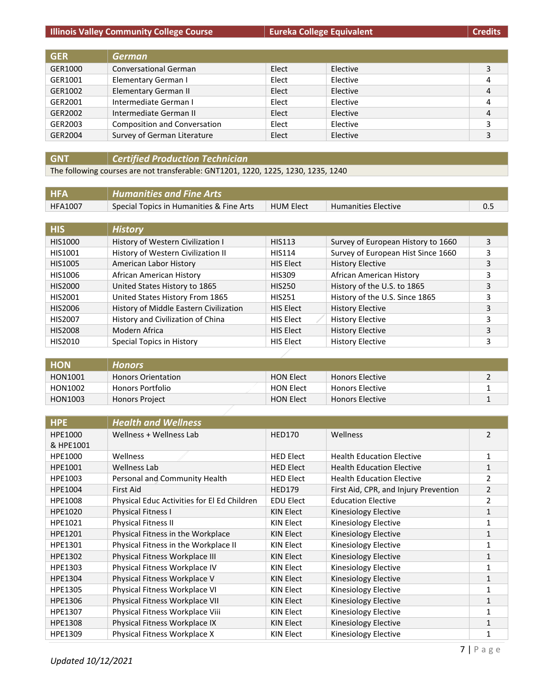#### **Illinois Valley Community College Course Eureka College Equivalent Eureka College Equivalent Credits**

| <b>GER</b> | <b>German</b>                       |       |          |   |
|------------|-------------------------------------|-------|----------|---|
| GER1000    | <b>Conversational German</b>        | Elect | Elective |   |
| GER1001    | Elementary German I                 | Elect | Elective | 4 |
| GER1002    | <b>Elementary German II</b>         | Elect | Elective | 4 |
| GER2001    | Intermediate German I               | Elect | Elective | 4 |
| GER2002    | Intermediate German II              | Elect | Elective | 4 |
| GER2003    | <b>Composition and Conversation</b> | Elect | Elective |   |
| GER2004    | Survey of German Literature         | Elect | Elective |   |

#### **GNT** *Certified Production Technician*

The following courses are not transferable: GNT1201, 1220, 1225, 1230, 1235, 1240

| <b>HFA</b> | Humanities and Fine Arts                 |                  |                            |  |
|------------|------------------------------------------|------------------|----------------------------|--|
| HFA1007    | Special Topics in Humanities & Fine Arts | <b>HUM Elect</b> | <b>Humanities Elective</b> |  |

| <b>HIS</b>     | <b>History</b>                         |                  |                                    |   |
|----------------|----------------------------------------|------------------|------------------------------------|---|
| HIS1000        | History of Western Civilization I      | <b>HIS113</b>    | Survey of European History to 1660 | 3 |
| HIS1001        | History of Western Civilization II     | <b>HIS114</b>    | Survey of European Hist Since 1660 | 3 |
| HIS1005        | American Labor History                 | HIS Elect        | <b>History Elective</b>            | 3 |
| HIS1006        | African American History               | <b>HIS309</b>    | African American History           | 3 |
| HIS2000        | United States History to 1865          | <b>HIS250</b>    | History of the U.S. to 1865        | 3 |
| HIS2001        | United States History From 1865        | <b>HIS251</b>    | History of the U.S. Since 1865     | 3 |
| HIS2006        | History of Middle Eastern Civilization | <b>HIS Elect</b> | <b>History Elective</b>            | 3 |
| HIS2007        | History and Civilization of China      | HIS Elect        | <b>History Elective</b>            | 3 |
| <b>HIS2008</b> | Modern Africa                          | <b>HIS Elect</b> | <b>History Elective</b>            | 3 |
| HIS2010        | Special Topics in History              | <b>HIS Elect</b> | <b>History Elective</b>            | 3 |

| <b>HON</b> | <b>Honors</b>             |                  |                        |  |
|------------|---------------------------|------------------|------------------------|--|
| HON1001    | <b>Honors Orientation</b> | <b>HON Elect</b> | <b>Honors Elective</b> |  |
| HON1002    | Honors Portfolio          | <b>HON Elect</b> | <b>Honors Elective</b> |  |
| HON1003    | <b>Honors Project</b>     | <b>HON Elect</b> | <b>Honors Elective</b> |  |

| <b>HPE</b> | <b>Health and Wellness</b>                  |                  |                                       |                |
|------------|---------------------------------------------|------------------|---------------------------------------|----------------|
| HPE1000    | Wellness + Wellness Lab                     | <b>HED170</b>    | Wellness                              | $\overline{2}$ |
| & HPE1001  |                                             |                  |                                       |                |
| HPE1000    | Wellness                                    | <b>HED Elect</b> | <b>Health Education Elective</b>      | 1              |
| HPE1001    | Wellness Lab                                | <b>HED Elect</b> | <b>Health Education Elective</b>      | 1              |
| HPE1003    | Personal and Community Health               | <b>HED Elect</b> | <b>Health Education Elective</b>      | 2              |
| HPE1004    | <b>First Aid</b>                            | <b>HED179</b>    | First Aid, CPR, and Injury Prevention | 2              |
| HPE1008    | Physical Educ Activities for El Ed Children | <b>EDU Elect</b> | <b>Education Elective</b>             | $\overline{2}$ |
| HPE1020    | Physical Fitness I                          | KIN Elect        | Kinesiology Elective                  | $\mathbf{1}$   |
| HPE1021    | Physical Fitness II                         | KIN Elect        | Kinesiology Elective                  | 1              |
| HPE1201    | Physical Fitness in the Workplace           | KIN Elect        | Kinesiology Elective                  | 1              |
| HPE1301    | Physical Fitness in the Workplace II        | KIN Elect        | Kinesiology Elective                  |                |
| HPE1302    | Physical Fitness Workplace III              | <b>KIN Elect</b> | Kinesiology Elective                  | 1              |
| HPE1303    | Physical Fitness Workplace IV               | KIN Elect        | Kinesiology Elective                  |                |
| HPE1304    | Physical Fitness Workplace V                | KIN Elect        | Kinesiology Elective                  | 1              |
| HPE1305    | Physical Fitness Workplace VI               | KIN Elect        | Kinesiology Elective                  | 1              |
| HPE1306    | Physical Fitness Workplace VII              | KIN Elect        | Kinesiology Elective                  | 1              |
| HPE1307    | Physical Fitness Workplace Viii             | KIN Elect        | Kinesiology Elective                  | 1              |
| HPE1308    | Physical Fitness Workplace IX               | <b>KIN Elect</b> | Kinesiology Elective                  | 1              |
| HPE1309    | Physical Fitness Workplace X                | KIN Elect        | Kinesiology Elective                  | 1              |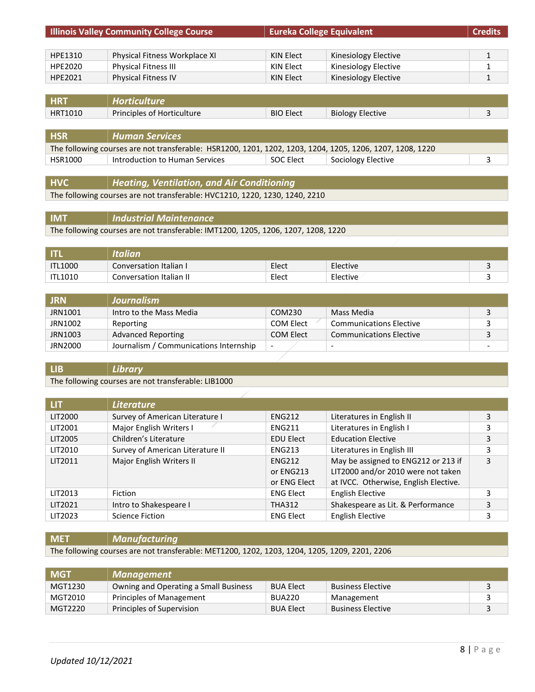|                | <b>Illinois Valley Community College Course</b>                                                           | <b>Eureka College Equivalent</b> |                         | <b>Credits</b> |
|----------------|-----------------------------------------------------------------------------------------------------------|----------------------------------|-------------------------|----------------|
|                |                                                                                                           |                                  |                         |                |
| HPE1310        | Physical Fitness Workplace XI                                                                             | <b>KIN Elect</b>                 | Kinesiology Elective    | $\mathbf{1}$   |
| HPE2020        | <b>Physical Fitness III</b>                                                                               | KIN Elect                        | Kinesiology Elective    |                |
| HPE2021        | <b>Physical Fitness IV</b>                                                                                | KIN Elect                        | Kinesiology Elective    |                |
|                |                                                                                                           |                                  |                         |                |
| <b>HRT</b>     | <b>Horticulture</b>                                                                                       |                                  |                         |                |
| HRT1010        | Principles of Horticulture                                                                                | <b>BIO Elect</b>                 | <b>Biology Elective</b> | 3              |
|                |                                                                                                           |                                  |                         |                |
| <b>HSR</b>     | <b>Human Services</b>                                                                                     |                                  |                         |                |
|                | The following courses are not transferable: HSR1200, 1201, 1202, 1203, 1204, 1205, 1206, 1207, 1208, 1220 |                                  |                         |                |
| <b>HSR1000</b> | Introduction to Human Services                                                                            | SOC Elect                        | Sociology Elective      | 3              |
|                |                                                                                                           |                                  |                         |                |
| <b>HVC</b>     | <b>Heating, Ventilation, and Air Conditioning</b>                                                         |                                  |                         |                |

The following courses are not transferable: HVC1210, 1220, 1230, 1240, 2210

**IMT** *Industrial Maintenance* The following courses are not transferable: IMT1200, 1205, 1206, 1207, 1208, 1220

|                | <b>Italian</b>          |       |          |  |
|----------------|-------------------------|-------|----------|--|
| <b>ITL1000</b> | Conversation Italian I  | Elect | Elective |  |
| <b>ITL1010</b> | Conversation Italian II | Elect | Elective |  |

| <b>JRN</b> | Journalism                             |                          |                                |                          |
|------------|----------------------------------------|--------------------------|--------------------------------|--------------------------|
| JRN1001    | Intro to the Mass Media                | COM230                   | Mass Media                     |                          |
| JRN1002    | Reporting                              | COM Elect                | <b>Communications Elective</b> |                          |
| JRN1003    | <b>Advanced Reporting</b>              | COM Elect                | <b>Communications Elective</b> |                          |
| JRN2000    | Journalism / Communications Internship | $\overline{\phantom{a}}$ | $\overline{\phantom{a}}$       | $\overline{\phantom{0}}$ |

#### **LIB** *Library*

The following courses are not transferable: LIB1000

| LIT     | <b>Literature</b>                |                  |                                       |   |
|---------|----------------------------------|------------------|---------------------------------------|---|
| LIT2000 | Survey of American Literature I  | <b>ENG212</b>    | Literatures in English II             | 3 |
| LIT2001 | Major English Writers I          | <b>ENG211</b>    | Literatures in English I              |   |
| LIT2005 | Children's Literature            | <b>EDU Elect</b> | <b>Education Elective</b>             | 3 |
| LIT2010 | Survey of American Literature II | <b>ENG213</b>    | Literatures in English III            | 3 |
| LIT2011 | Major English Writers II         | <b>ENG212</b>    | May be assigned to ENG212 or 213 if   | 3 |
|         |                                  | or ENG213        | LIT2000 and/or 2010 were not taken    |   |
|         |                                  | or ENG Elect     | at IVCC. Otherwise, English Elective. |   |
| LIT2013 | Fiction                          | <b>ENG Elect</b> | <b>English Elective</b>               | 3 |
| LIT2021 | Intro to Shakespeare I           | <b>THA312</b>    | Shakespeare as Lit. & Performance     | 3 |
| LIT2023 | Science Fiction                  | <b>ENG Elect</b> | <b>English Elective</b>               | 3 |

**MET** *Manufacturing*

The following courses are not transferable: MET1200, 1202, 1203, 1204, 1205, 1209, 2201, 2206

| <b>MGT</b> | <b>Management</b>                     |                  |                          |  |
|------------|---------------------------------------|------------------|--------------------------|--|
| MGT1230    | Owning and Operating a Small Business | <b>BUA Elect</b> | <b>Business Elective</b> |  |
| MGT2010    | Principles of Management              | <b>BUA220</b>    | Management               |  |
| MGT2220    | Principles of Supervision             | <b>BUA Elect</b> | <b>Business Elective</b> |  |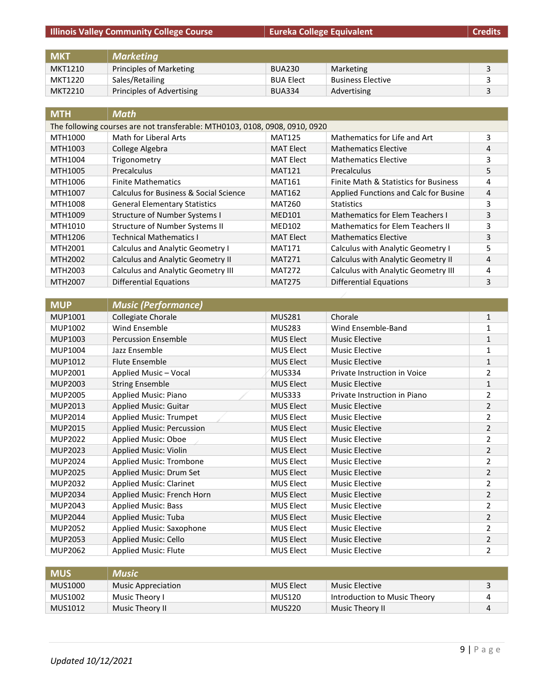## **Illinois Valley Community College Course Eureka College Equivalent Eureka College Equivalent Credits**

| <b>MKT</b> | Marketing                 |                  |                          |  |
|------------|---------------------------|------------------|--------------------------|--|
| MKT1210    | Principles of Marketing   | <b>BUA230</b>    | Marketing                |  |
| MKT1220    | Sales/Retailing           | <b>BUA Elect</b> | <b>Business Elective</b> |  |
| MKT2210    | Principles of Advertising | <b>BUA334</b>    | Advertising              |  |

| <b>MTH</b> | <b>Math</b>                                                                 |                  |                                         |   |  |
|------------|-----------------------------------------------------------------------------|------------------|-----------------------------------------|---|--|
|            | The following courses are not transferable: MTH0103, 0108, 0908, 0910, 0920 |                  |                                         |   |  |
| MTH1000    | Math for Liberal Arts                                                       | <b>MAT125</b>    | Mathematics for Life and Art            | 3 |  |
| MTH1003    | College Algebra                                                             | <b>MAT Elect</b> | <b>Mathematics Elective</b>             | 4 |  |
| MTH1004    | Trigonometry                                                                | <b>MAT Elect</b> | <b>Mathematics Elective</b>             | 3 |  |
| MTH1005    | Precalculus                                                                 | <b>MAT121</b>    | Precalculus                             | 5 |  |
| MTH1006    | <b>Finite Mathematics</b>                                                   | <b>MAT161</b>    | Finite Math & Statistics for Business   | 4 |  |
| MTH1007    | Calculus for Business & Social Science                                      | <b>MAT162</b>    | Applied Functions and Calc for Busine   | 4 |  |
| MTH1008    | <b>General Elementary Statistics</b>                                        | MAT260           | <b>Statistics</b>                       | 3 |  |
| MTH1009    | <b>Structure of Number Systems I</b>                                        | <b>MED101</b>    | <b>Mathematics for Elem Teachers I</b>  | 3 |  |
| MTH1010    | <b>Structure of Number Systems II</b>                                       | <b>MED102</b>    | <b>Mathematics for Elem Teachers II</b> | 3 |  |
| MTH1206    | <b>Technical Mathematics I</b>                                              | <b>MAT Elect</b> | <b>Mathematics Elective</b>             | 3 |  |
| MTH2001    | Calculus and Analytic Geometry I                                            | <b>MAT171</b>    | Calculus with Analytic Geometry I       | 5 |  |
| MTH2002    | <b>Calculus and Analytic Geometry II</b>                                    | <b>MAT271</b>    | Calculus with Analytic Geometry II      | 4 |  |
| MTH2003    | <b>Calculus and Analytic Geometry III</b>                                   | <b>MAT272</b>    | Calculus with Analytic Geometry III     | 4 |  |
| MTH2007    | <b>Differential Equations</b>                                               | <b>MAT275</b>    | <b>Differential Equations</b>           | 3 |  |

| <b>MUP</b>     | <b>Music (Performance)</b>     |                  |                              |                |
|----------------|--------------------------------|------------------|------------------------------|----------------|
| <b>MUP1001</b> | Collegiate Chorale             | <b>MUS281</b>    | Chorale                      | $\mathbf{1}$   |
| MUP1002        | Wind Ensemble                  | <b>MUS283</b>    | Wind Ensemble-Band           | 1              |
| MUP1003        | <b>Percussion Ensemble</b>     | <b>MUS Elect</b> | <b>Music Elective</b>        | 1              |
| MUP1004        | Jazz Ensemble                  | MUS Elect        | Music Elective               | 1              |
| MUP1012        | <b>Flute Ensemble</b>          | <b>MUS Elect</b> | <b>Music Elective</b>        | 1              |
| <b>MUP2001</b> | Applied Music - Vocal          | MUS334           | Private Instruction in Voice | 2              |
| MUP2003        | <b>String Ensemble</b>         | <b>MUS Elect</b> | <b>Music Elective</b>        | 1              |
| <b>MUP2005</b> | Applied Music: Piano           | <b>MUS333</b>    | Private Instruction in Piano | 2              |
| MUP2013        | <b>Applied Music: Guitar</b>   | <b>MUS Elect</b> | <b>Music Elective</b>        | 2              |
| MUP2014        | <b>Applied Music: Trumpet</b>  | <b>MUS Elect</b> | Music Elective               | 2              |
| <b>MUP2015</b> | Applied Music: Percussion      | <b>MUS Elect</b> | <b>Music Elective</b>        | 2              |
| <b>MUP2022</b> | Applied Music: Oboe            | <b>MUS Elect</b> | <b>Music Elective</b>        | 2              |
| <b>MUP2023</b> | <b>Applied Music: Violin</b>   | <b>MUS Elect</b> | <b>Music Elective</b>        | $\overline{2}$ |
| MUP2024        | Applied Music: Trombone        | <b>MUS Elect</b> | <b>Music Elective</b>        | 2              |
| <b>MUP2025</b> | Applied Music: Drum Set        | <b>MUS Elect</b> | <b>Music Elective</b>        | 2              |
| <b>MUP2032</b> | <b>Applied Music: Clarinet</b> | <b>MUS Elect</b> | Music Elective               | 2              |
| <b>MUP2034</b> | Applied Music: French Horn     | <b>MUS Elect</b> | <b>Music Elective</b>        | 2              |
| MUP2043        | <b>Applied Music: Bass</b>     | <b>MUS Elect</b> | Music Elective               | 2              |
| <b>MUP2044</b> | Applied Music: Tuba            | <b>MUS Elect</b> | <b>Music Elective</b>        | 2              |
| <b>MUP2052</b> | Applied Music: Saxophone       | <b>MUS Elect</b> | <b>Music Elective</b>        | 2              |
| <b>MUP2053</b> | Applied Music: Cello           | <b>MUS Elect</b> | <b>Music Elective</b>        | 2              |
| <b>MUP2062</b> | <b>Applied Music: Flute</b>    | <b>MUS Elect</b> | <b>Music Elective</b>        | 2              |

| MUS'    | <b>Music</b>              |           |                              |  |
|---------|---------------------------|-----------|------------------------------|--|
| MUS1000 | <b>Music Appreciation</b> | MUS Elect | Music Elective               |  |
| MUS1002 | Music Theory I            | MUS120    | Introduction to Music Theory |  |
| MUS1012 | Music Theory II           | MUS220    | Music Theory II              |  |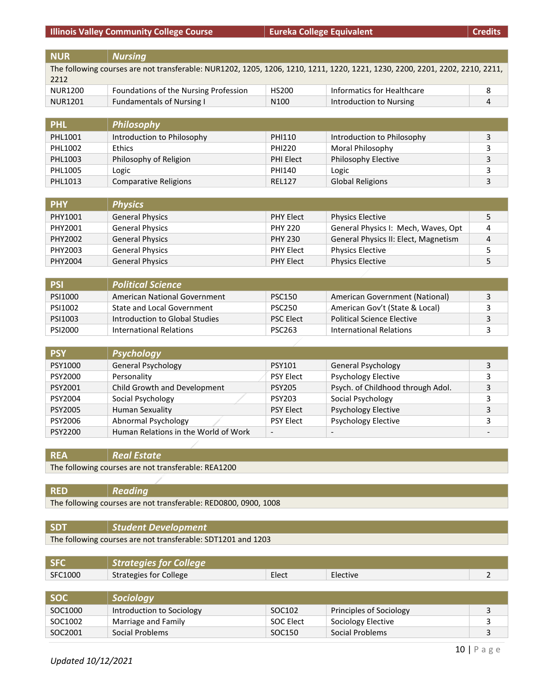**Illinois Valley Community College Course Eureka College Equivalent Constanting the Credits** 

**NUR** *Nursing* The following courses are not transferable: NUR1202, 1205, 1206, 1210, 1211, 1220, 1221, 1230, 2200, 2201, 2202, 2210, 2211, 2212 NUR1200 Foundations of the Nursing Profession HS200 Informatics for Healthcare 8 NUR1201 Fundamentals of Nursing I N100 Introduction to Nursing 4

| <b>PHL</b> | Philosophy                 |                  |                            |  |
|------------|----------------------------|------------------|----------------------------|--|
| PHL1001    | Introduction to Philosophy | PHI110           | Introduction to Philosophy |  |
| PHL1002    | <b>Ethics</b>              | <b>PHI220</b>    | Moral Philosophy           |  |
| PHL1003    | Philosophy of Religion     | <b>PHI Elect</b> | <b>Philosophy Elective</b> |  |
| PHL1005    | Logic                      | PHI140           | Logic                      |  |
| PHL1013    | Comparative Religions      | <b>REL127</b>    | <b>Global Religions</b>    |  |

| <b>PHY</b> | <b>Physics</b>         |                  |                                      |   |
|------------|------------------------|------------------|--------------------------------------|---|
| PHY1001    | <b>General Physics</b> | <b>PHY Elect</b> | <b>Physics Elective</b>              |   |
| PHY2001    | <b>General Physics</b> | <b>PHY 220</b>   | General Physics I: Mech, Waves, Opt  | 4 |
| PHY2002    | <b>General Physics</b> | <b>PHY 230</b>   | General Physics II: Elect, Magnetism | 4 |
| PHY2003    | <b>General Physics</b> | <b>PHY Elect</b> | Physics Elective                     |   |
| PHY2004    | <b>General Physics</b> | <b>PHY Elect</b> | <b>Physics Elective</b>              |   |

| <b>PSI</b> | <b>Political Science</b>          |                  |                                   |  |
|------------|-----------------------------------|------------------|-----------------------------------|--|
| PSI1000    | American National Government      | <b>PSC150</b>    | American Government (National)    |  |
| PSI1002    | <b>State and Local Government</b> | <b>PSC250</b>    | American Gov't (State & Local)    |  |
| PSI1003    | Introduction to Global Studies    | <b>PSC Elect</b> | <b>Political Science Elective</b> |  |
| PSI2000    | International Relations           | <b>PSC263</b>    | International Relations           |  |

| <b>PSY</b> | <b>Psychology</b>                    |                          |                                   |  |
|------------|--------------------------------------|--------------------------|-----------------------------------|--|
| PSY1000    | <b>General Psychology</b>            | <b>PSY101</b>            | <b>General Psychology</b>         |  |
| PSY2000    | Personality                          | <b>PSY Elect</b>         | <b>Psychology Elective</b>        |  |
| PSY2001    | Child Growth and Development         | <b>PSY205</b>            | Psych. of Childhood through Adol. |  |
| PSY2004    | Social Psychology                    | <b>PSY203</b>            | Social Psychology                 |  |
| PSY2005    | <b>Human Sexuality</b>               | <b>PSY Elect</b>         | <b>Psychology Elective</b>        |  |
| PSY2006    | Abnormal Psychology                  | <b>PSY Elect</b>         | <b>Psychology Elective</b>        |  |
| PSY2200    | Human Relations in the World of Work | $\overline{\phantom{a}}$ |                                   |  |

#### **REA** *Real Estate*

The following courses are not transferable: REA1200

**RED** *Reading* The following courses are not transferable: RED0800, 0900, 1008

| <b>SDT</b> | Student Development                                          |
|------------|--------------------------------------------------------------|
|            | The following courses are not transferable: SDT1201 and 1203 |

|         | <b>Strategies for College</b> |       |          |  |
|---------|-------------------------------|-------|----------|--|
| SFC1000 | Strategies for College        | Elect | Elective |  |
|         |                               |       |          |  |

| <b>SOC</b> | <b>Sociology</b>          |                    |                         |  |
|------------|---------------------------|--------------------|-------------------------|--|
| SOC1000    | Introduction to Sociology | SOC102             | Principles of Sociology |  |
| SOC1002    | Marriage and Family       | SOC Elect          | Sociology Elective      |  |
| SOC2001    | Social Problems           | SOC <sub>150</sub> | Social Problems         |  |